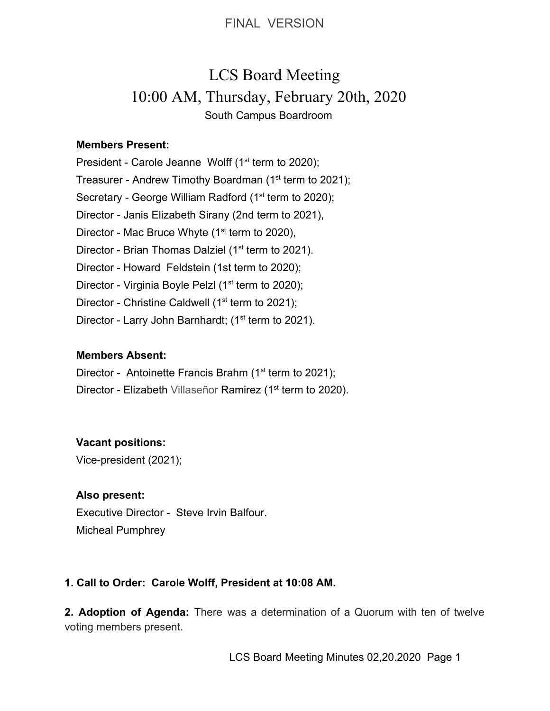# LCS Board Meeting 10:00 AM, Thursday, February 20th, 2020 South Campus Boardroom

### **Members Present:**

President - Carole Jeanne Wolff  $(1<sup>st</sup>$  term to 2020); Treasurer - Andrew Timothy Boardman (1<sup>st</sup> term to 2021); Secretary - George William Radford (1<sup>st</sup> term to 2020); Director - Janis Elizabeth Sirany (2nd term to 2021), Director - Mac Bruce Whyte  $(1<sup>st</sup>$  term to 2020), Director - Brian Thomas Dalziel (1<sup>st</sup> term to 2021). Director - Howard Feldstein (1st term to 2020); Director - Virginia Boyle Pelzl (1<sup>st</sup> term to 2020); Director - Christine Caldwell ( $1<sup>st</sup>$  term to 2021); Director - Larry John Barnhardt; (1<sup>st</sup> term to 2021).

### **Members Absent:**

- Director Antoinette Francis Brahm ( $1<sup>st</sup>$  term to 2021);
- Director Elizabeth Villaseñor Ramirez (1<sup>st</sup> term to 2020).

### **Vacant positions:**

Vice-president (2021);

### **Also present:**

Executive Director - Steve Irvin Balfour. Micheal Pumphrey

### **1. Call to Order: Carole Wolff, President at 10:08 AM.**

**2. Adoption of Agenda:** There was a determination of a Quorum with ten of twelve voting members present.

LCS Board Meeting Minutes 02,20.2020 Page 1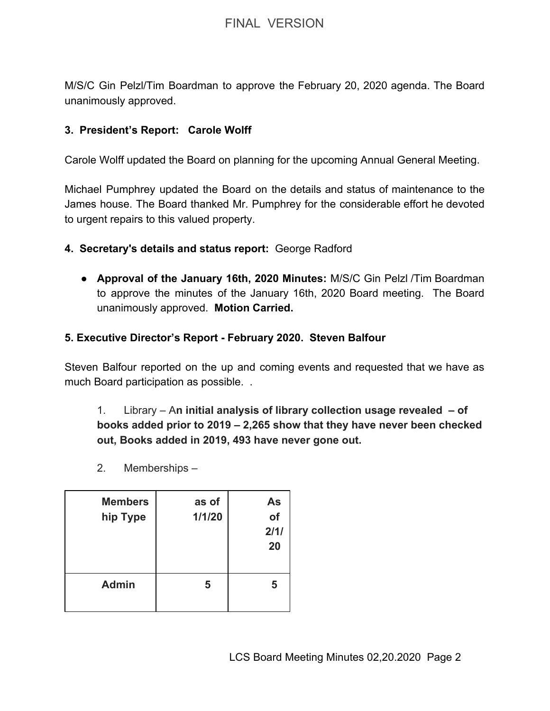M/S/C Gin Pelzl/Tim Boardman to approve the February 20, 2020 agenda. The Board unanimously approved.

### **3. President's Report: Carole Wolff**

Carole Wolff updated the Board on planning for the upcoming Annual General Meeting.

Michael Pumphrey updated the Board on the details and status of maintenance to the James house. The Board thanked Mr. Pumphrey for the considerable effort he devoted to urgent repairs to this valued property.

- **4. Secretary's details and status report:** George Radford
	- **Approval of the January 16th, 2020 Minutes:** M/S/C Gin Pelzl /Tim Boardman to approve the minutes of the January 16th, 2020 Board meeting. The Board unanimously approved. **Motion Carried.**

### **5. Executive Director's Report - February 2020. Steven Balfour**

Steven Balfour reported on the up and coming events and requested that we have as much Board participation as possible. .

## 1. Library – A**n initial analysis of library collection usage revealed – of books added prior to 2019 – 2,265 show that they have never been checked out, Books added in 2019, 493 have never gone out.**

2. Memberships –

| <b>Members</b><br>hip Type | as of<br>1/1/20 | As<br>of<br>2/1/<br>20 |
|----------------------------|-----------------|------------------------|
| <b>Admin</b>               | 5               | 5                      |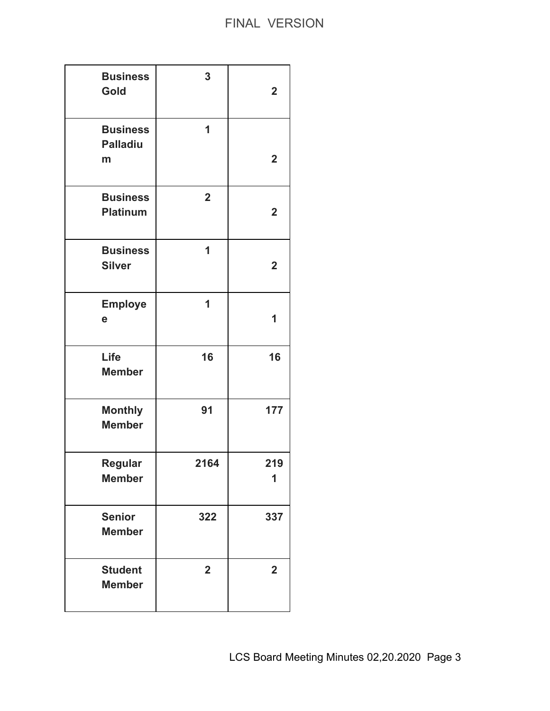| <b>Business</b><br>Gold                 | 3                       | $\overline{\mathbf{2}}$ |
|-----------------------------------------|-------------------------|-------------------------|
| <b>Business</b><br><b>Palladiu</b><br>m | 1                       | $\mathbf 2$             |
| <b>Business</b><br><b>Platinum</b>      | $\overline{\mathbf{2}}$ | $\overline{\mathbf{2}}$ |
| <b>Business</b><br><b>Silver</b>        | 1                       | $\mathbf 2$             |
| <b>Employe</b><br>e                     | 1                       | 1                       |
| Life<br><b>Member</b>                   | 16                      | 16                      |
| <b>Monthly</b><br><b>Member</b>         | 91                      | 177                     |
| <b>Regular</b><br><b>Member</b>         | 2164                    | 219<br>1                |
| <b>Senior</b><br><b>Member</b>          | 322                     | 337                     |
| <b>Student</b><br><b>Member</b>         | $\overline{\mathbf{2}}$ | $\overline{\mathbf{2}}$ |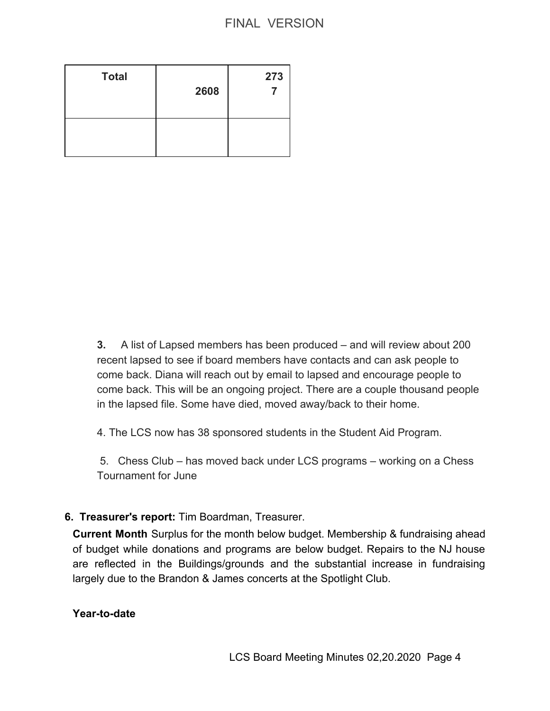| <b>Total</b> | 2608 | 273 |
|--------------|------|-----|
|              |      |     |

**3.** A list of Lapsed members has been produced – and will review about 200 recent lapsed to see if board members have contacts and can ask people to come back. Diana will reach out by email to lapsed and encourage people to come back. This will be an ongoing project. There are a couple thousand people in the lapsed file. Some have died, moved away/back to their home.

4. The LCS now has 38 sponsored students in the Student Aid Program.

 5. Chess Club – has moved back under LCS programs – working on a Chess Tournament for June

### **6. Treasurer's report:** Tim Boardman, Treasurer.

**Current Month** Surplus for the month below budget. Membership & fundraising ahead of budget while donations and programs are below budget. Repairs to the NJ house are reflected in the Buildings/grounds and the substantial increase in fundraising largely due to the Brandon & James concerts at the Spotlight Club.

### **Year-to-date**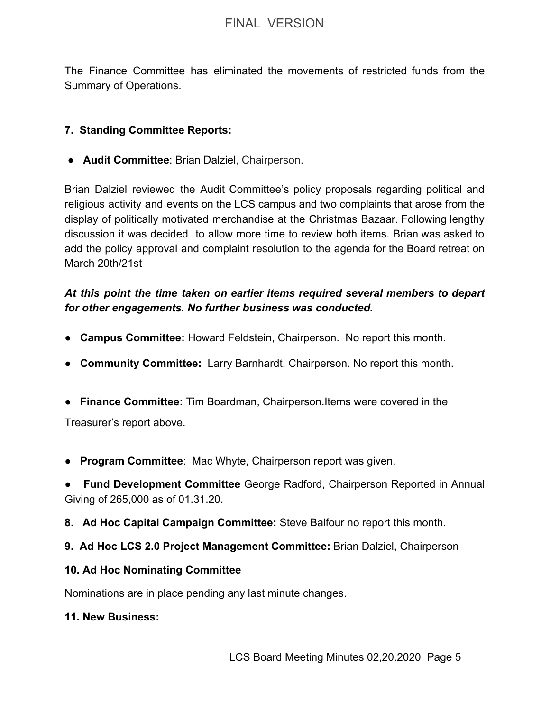The Finance Committee has eliminated the movements of restricted funds from the Summary of Operations.

### **7. Standing Committee Reports:**

● **Audit Committee**: Brian Dalziel, Chairperson.

Brian Dalziel reviewed the Audit Committee's policy proposals regarding political and religious activity and events on the LCS campus and two complaints that arose from the display of politically motivated merchandise at the Christmas Bazaar. Following lengthy discussion it was decided to allow more time to review both items. Brian was asked to add the policy approval and complaint resolution to the agenda for the Board retreat on March 20th/21st

## *At this point the time taken on earlier items required several members to depart for other engagements. No further business was conducted.*

- ● **Campus Committee:** Howard Feldstein, Chairperson. No report this month.
- **Community Committee:** Larry Barnhardt. Chairperson. No report this month.
- **Finance Committee:** Tim Boardman, Chairperson.Items were covered in the

Treasurer's report above.

● **Program Committee**: Mac Whyte, Chairperson report was given.

**● Fund Development Committee** George Radford, Chairperson Reported in Annual Giving of 265,000 as of 01.31.20.

- **8. Ad Hoc Capital Campaign Committee:** Steve Balfour no report this month.
- **9. Ad Hoc LCS 2.0 Project Management Committee:** Brian Dalziel, Chairperson

### **10. Ad Hoc Nominating Committee**

Nominations are in place pending any last minute changes.

### **11. New Business:**